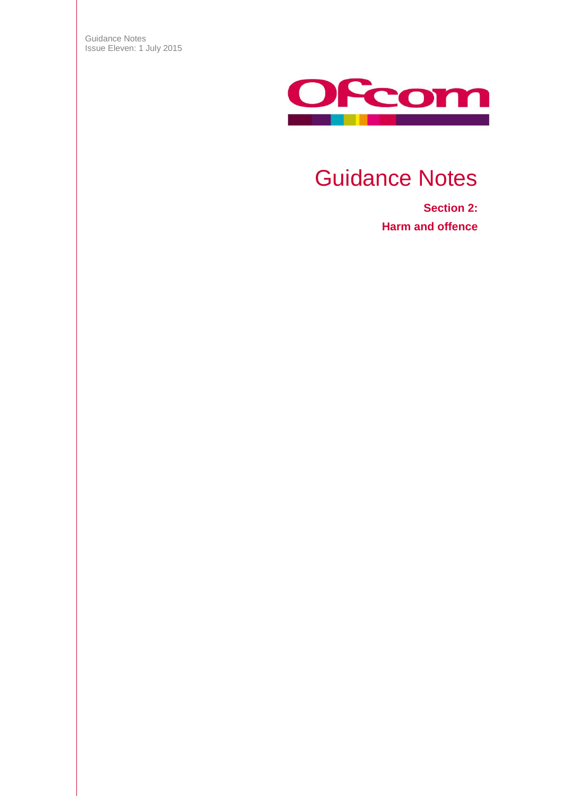Guidance Notes Issue Eleven: 1 July 2015



# Guidance Notes

**Section 2: Harm and offence**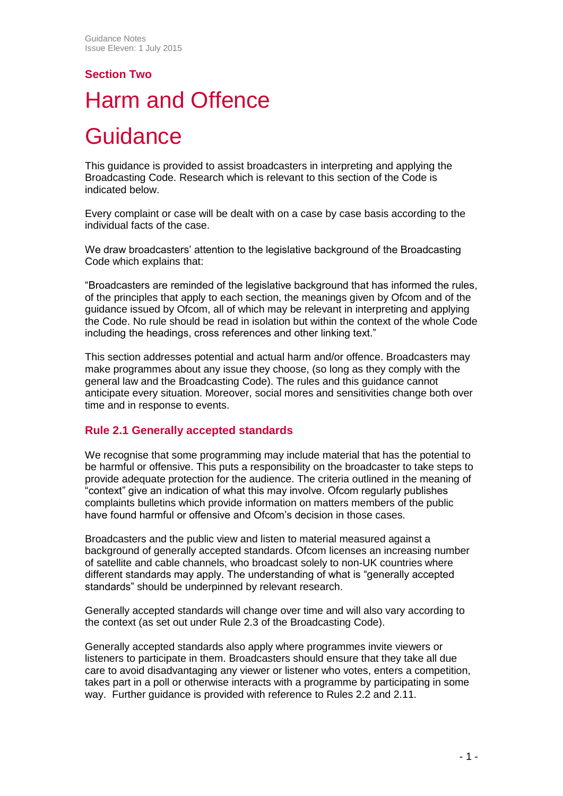# **Section Two** Harm and Offence

# **Guidance**

This guidance is provided to assist broadcasters in interpreting and applying the Broadcasting Code. Research which is relevant to this section of the Code is indicated below.

Every complaint or case will be dealt with on a case by case basis according to the individual facts of the case.

We draw broadcasters' attention to the legislative background of the Broadcasting Code which explains that:

"Broadcasters are reminded of the legislative background that has informed the rules, of the principles that apply to each section, the meanings given by Ofcom and of the guidance issued by Ofcom, all of which may be relevant in interpreting and applying the Code. No rule should be read in isolation but within the context of the whole Code including the headings, cross references and other linking text."

This section addresses potential and actual harm and/or offence. Broadcasters may make programmes about any issue they choose, (so long as they comply with the general law and the Broadcasting Code). The rules and this guidance cannot anticipate every situation. Moreover, social mores and sensitivities change both over time and in response to events.

## **Rule 2.1 Generally accepted standards**

We recognise that some programming may include material that has the potential to be harmful or offensive. This puts a responsibility on the broadcaster to take steps to provide adequate protection for the audience. The criteria outlined in the meaning of "context" give an indication of what this may involve. Ofcom regularly publishes complaints bulletins which provide information on matters members of the public have found harmful or offensive and Ofcom's decision in those cases.

Broadcasters and the public view and listen to material measured against a background of generally accepted standards. Ofcom licenses an increasing number of satellite and cable channels, who broadcast solely to non-UK countries where different standards may apply. The understanding of what is "generally accepted standards" should be underpinned by relevant research.

Generally accepted standards will change over time and will also vary according to the context (as set out under Rule 2.3 of the Broadcasting Code).

Generally accepted standards also apply where programmes invite viewers or listeners to participate in them. Broadcasters should ensure that they take all due care to avoid disadvantaging any viewer or listener who votes, enters a competition, takes part in a poll or otherwise interacts with a programme by participating in some way. Further guidance is provided with reference to Rules 2.2 and 2.11.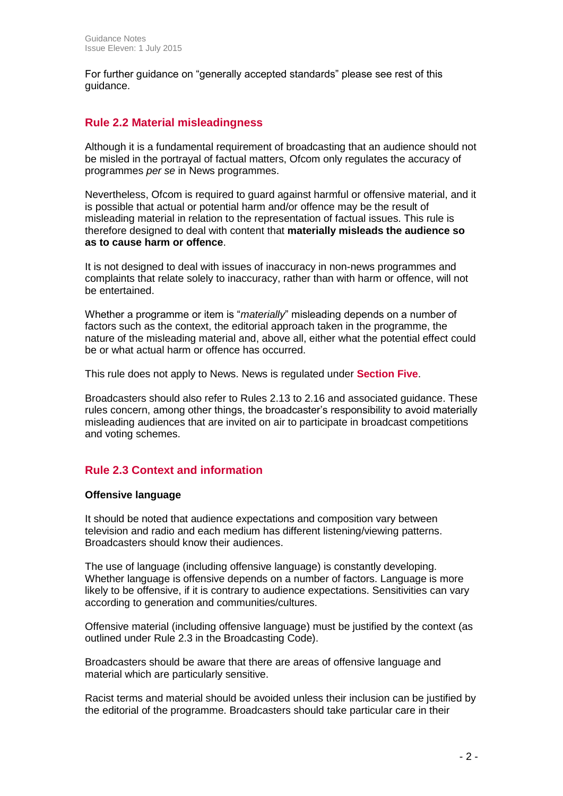For further guidance on "generally accepted standards" please see rest of this guidance.

## **Rule 2.2 Material misleadingness**

Although it is a fundamental requirement of broadcasting that an audience should not be misled in the portrayal of factual matters, Ofcom only regulates the accuracy of programmes *per se* in News programmes.

Nevertheless, Ofcom is required to guard against harmful or offensive material, and it is possible that actual or potential harm and/or offence may be the result of misleading material in relation to the representation of factual issues. This rule is therefore designed to deal with content that **materially misleads the audience so as to cause harm or offence**.

It is not designed to deal with issues of inaccuracy in non-news programmes and complaints that relate solely to inaccuracy, rather than with harm or offence, will not be entertained.

Whether a programme or item is "*materially*" misleading depends on a number of factors such as the context, the editorial approach taken in the programme, the nature of the misleading material and, above all, either what the potential effect could be or what actual harm or offence has occurred.

This rule does not apply to News. News is regulated under **Section Five**.

Broadcasters should also refer to Rules 2.13 to 2.16 and associated guidance. These rules concern, among other things, the broadcaster's responsibility to avoid materially misleading audiences that are invited on air to participate in broadcast competitions and voting schemes.

## **Rule 2.3 Context and information**

#### **Offensive language**

It should be noted that audience expectations and composition vary between television and radio and each medium has different listening/viewing patterns. Broadcasters should know their audiences.

The use of language (including offensive language) is constantly developing. Whether language is offensive depends on a number of factors. Language is more likely to be offensive, if it is contrary to audience expectations. Sensitivities can vary according to generation and communities/cultures.

Offensive material (including offensive language) must be justified by the context (as outlined under Rule 2.3 in the Broadcasting Code).

Broadcasters should be aware that there are areas of offensive language and material which are particularly sensitive.

Racist terms and material should be avoided unless their inclusion can be justified by the editorial of the programme. Broadcasters should take particular care in their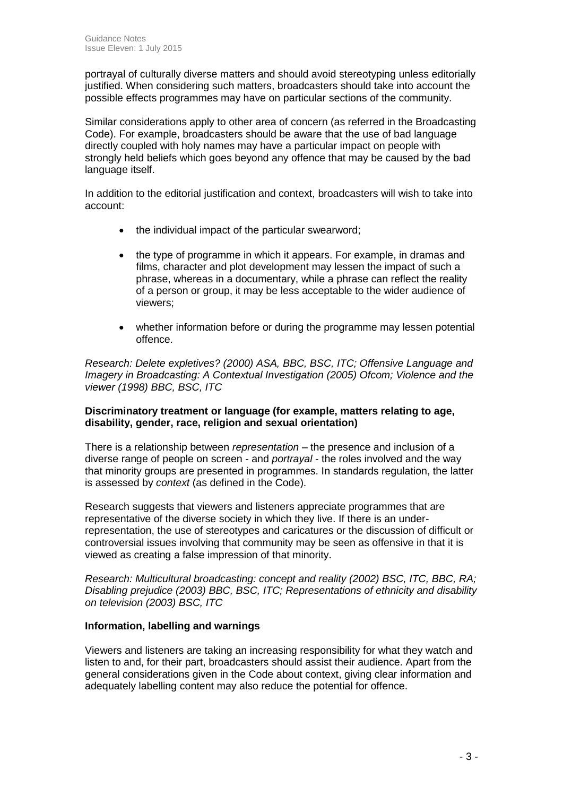portrayal of culturally diverse matters and should avoid stereotyping unless editorially justified. When considering such matters, broadcasters should take into account the possible effects programmes may have on particular sections of the community.

Similar considerations apply to other area of concern (as referred in the Broadcasting Code). For example, broadcasters should be aware that the use of bad language directly coupled with holy names may have a particular impact on people with strongly held beliefs which goes beyond any offence that may be caused by the bad language itself.

In addition to the editorial justification and context, broadcasters will wish to take into account:

- the individual impact of the particular swearword;
- the type of programme in which it appears. For example, in dramas and films, character and plot development may lessen the impact of such a phrase, whereas in a documentary, while a phrase can reflect the reality of a person or group, it may be less acceptable to the wider audience of viewers;
- whether information before or during the programme may lessen potential offence.

*Research: Delete expletives? (2000) ASA, BBC, BSC, ITC; Offensive Language and Imagery in Broadcasting: A Contextual Investigation (2005) Ofcom; Violence and the viewer (1998) BBC, BSC, ITC*

#### **Discriminatory treatment or language (for example, matters relating to age, disability, gender, race, religion and sexual orientation)**

There is a relationship between *representation* – the presence and inclusion of a diverse range of people on screen - and *portrayal* - the roles involved and the way that minority groups are presented in programmes. In standards regulation, the latter is assessed by *context* (as defined in the Code).

Research suggests that viewers and listeners appreciate programmes that are representative of the diverse society in which they live. If there is an underrepresentation, the use of stereotypes and caricatures or the discussion of difficult or controversial issues involving that community may be seen as offensive in that it is viewed as creating a false impression of that minority.

*Research: Multicultural broadcasting: concept and reality (2002) BSC, ITC, BBC, RA; Disabling prejudice (2003) BBC, BSC, ITC; Representations of ethnicity and disability on television (2003) BSC, ITC*

#### **Information, labelling and warnings**

Viewers and listeners are taking an increasing responsibility for what they watch and listen to and, for their part, broadcasters should assist their audience. Apart from the general considerations given in the Code about context, giving clear information and adequately labelling content may also reduce the potential for offence.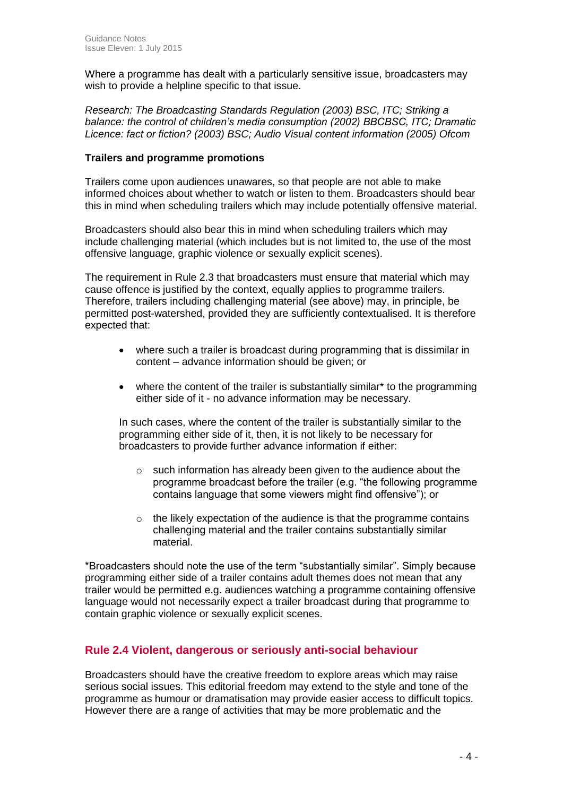Where a programme has dealt with a particularly sensitive issue, broadcasters may wish to provide a helpline specific to that issue.

*Research: The Broadcasting Standards Regulation (2003) BSC, ITC; Striking a balance: the control of children's media consumption (2002) BBCBSC, ITC; Dramatic Licence: fact or fiction? (2003) BSC; Audio Visual content information (2005) Ofcom*

#### **Trailers and programme promotions**

Trailers come upon audiences unawares, so that people are not able to make informed choices about whether to watch or listen to them. Broadcasters should bear this in mind when scheduling trailers which may include potentially offensive material.

Broadcasters should also bear this in mind when scheduling trailers which may include challenging material (which includes but is not limited to, the use of the most offensive language, graphic violence or sexually explicit scenes).

The requirement in Rule 2.3 that broadcasters must ensure that material which may cause offence is justified by the context, equally applies to programme trailers. Therefore, trailers including challenging material (see above) may, in principle, be permitted post-watershed, provided they are sufficiently contextualised. It is therefore expected that:

- where such a trailer is broadcast during programming that is dissimilar in content – advance information should be given; or
- where the content of the trailer is substantially similar\* to the programming either side of it - no advance information may be necessary.

In such cases, where the content of the trailer is substantially similar to the programming either side of it, then, it is not likely to be necessary for broadcasters to provide further advance information if either:

- o such information has already been given to the audience about the programme broadcast before the trailer (e.g. "the following programme contains language that some viewers might find offensive"); or
- o the likely expectation of the audience is that the programme contains challenging material and the trailer contains substantially similar material.

\*Broadcasters should note the use of the term "substantially similar". Simply because programming either side of a trailer contains adult themes does not mean that any trailer would be permitted e.g. audiences watching a programme containing offensive language would not necessarily expect a trailer broadcast during that programme to contain graphic violence or sexually explicit scenes.

## **Rule 2.4 Violent, dangerous or seriously anti-social behaviour**

Broadcasters should have the creative freedom to explore areas which may raise serious social issues. This editorial freedom may extend to the style and tone of the programme as humour or dramatisation may provide easier access to difficult topics. However there are a range of activities that may be more problematic and the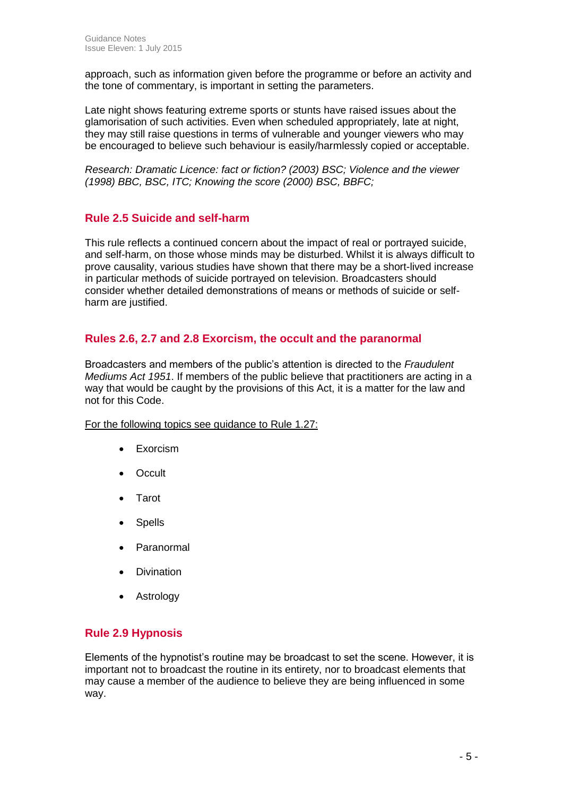approach, such as information given before the programme or before an activity and the tone of commentary, is important in setting the parameters.

Late night shows featuring extreme sports or stunts have raised issues about the glamorisation of such activities. Even when scheduled appropriately, late at night, they may still raise questions in terms of vulnerable and younger viewers who may be encouraged to believe such behaviour is easily/harmlessly copied or acceptable.

*Research: Dramatic Licence: fact or fiction? (2003) BSC; Violence and the viewer (1998) BBC, BSC, ITC; Knowing the score (2000) BSC, BBFC;*

## **Rule 2.5 Suicide and self-harm**

This rule reflects a continued concern about the impact of real or portrayed suicide, and self-harm, on those whose minds may be disturbed. Whilst it is always difficult to prove causality, various studies have shown that there may be a short-lived increase in particular methods of suicide portrayed on television. Broadcasters should consider whether detailed demonstrations of means or methods of suicide or selfharm are justified.

## **Rules 2.6, 2.7 and 2.8 Exorcism, the occult and the paranormal**

Broadcasters and members of the public's attention is directed to the *Fraudulent Mediums Act 1951*. If members of the public believe that practitioners are acting in a way that would be caught by the provisions of this Act, it is a matter for the law and not for this Code.

#### For the following topics see guidance to Rule 1.27:

- Exorcism
- Occult
- Tarot
- **Spells**
- Paranormal
- Divination
- Astrology

## **Rule 2.9 Hypnosis**

Elements of the hypnotist's routine may be broadcast to set the scene. However, it is important not to broadcast the routine in its entirety, nor to broadcast elements that may cause a member of the audience to believe they are being influenced in some way.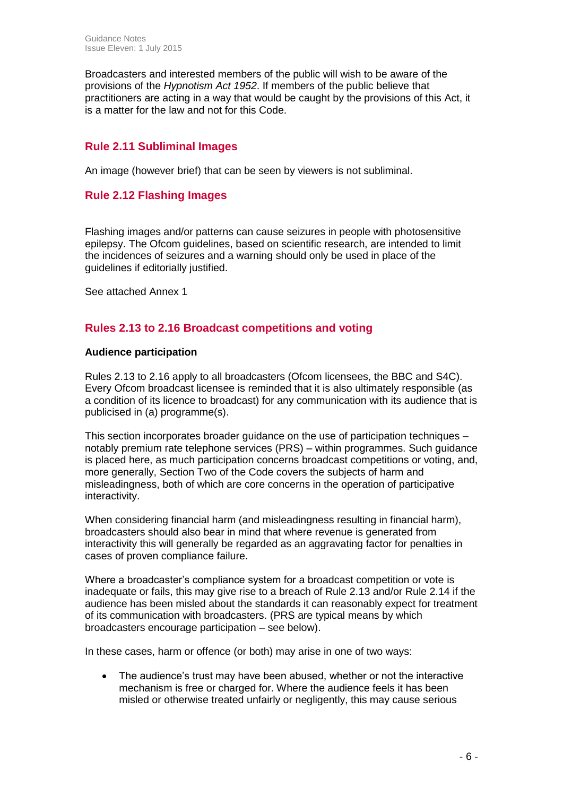Broadcasters and interested members of the public will wish to be aware of the provisions of the *Hypnotism Act 1952*. If members of the public believe that practitioners are acting in a way that would be caught by the provisions of this Act, it is a matter for the law and not for this Code.

## **Rule 2.11 Subliminal Images**

An image (however brief) that can be seen by viewers is not subliminal.

## **Rule 2.12 Flashing Images**

Flashing images and/or patterns can cause seizures in people with photosensitive epilepsy. The Ofcom guidelines, based on scientific research, are intended to limit the incidences of seizures and a warning should only be used in place of the guidelines if editorially justified.

See attached Annex 1

## **Rules 2.13 to 2.16 Broadcast competitions and voting**

#### **Audience participation**

Rules 2.13 to 2.16 apply to all broadcasters (Ofcom licensees, the BBC and S4C). Every Ofcom broadcast licensee is reminded that it is also ultimately responsible (as a condition of its licence to broadcast) for any communication with its audience that is publicised in (a) programme(s).

This section incorporates broader guidance on the use of participation techniques – notably premium rate telephone services (PRS) – within programmes. Such guidance is placed here, as much participation concerns broadcast competitions or voting, and, more generally, Section Two of the Code covers the subjects of harm and misleadingness, both of which are core concerns in the operation of participative interactivity.

When considering financial harm (and misleadingness resulting in financial harm), broadcasters should also bear in mind that where revenue is generated from interactivity this will generally be regarded as an aggravating factor for penalties in cases of proven compliance failure.

Where a broadcaster's compliance system for a broadcast competition or vote is inadequate or fails, this may give rise to a breach of Rule 2.13 and/or Rule 2.14 if the audience has been misled about the standards it can reasonably expect for treatment of its communication with broadcasters. (PRS are typical means by which broadcasters encourage participation – see below).

In these cases, harm or offence (or both) may arise in one of two ways:

• The audience's trust may have been abused, whether or not the interactive mechanism is free or charged for. Where the audience feels it has been misled or otherwise treated unfairly or negligently, this may cause serious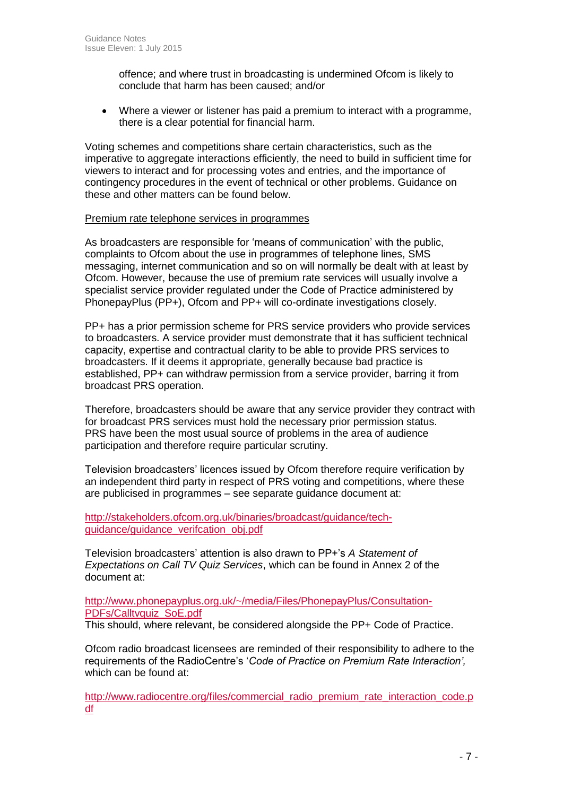offence; and where trust in broadcasting is undermined Ofcom is likely to conclude that harm has been caused; and/or

 Where a viewer or listener has paid a premium to interact with a programme, there is a clear potential for financial harm.

Voting schemes and competitions share certain characteristics, such as the imperative to aggregate interactions efficiently, the need to build in sufficient time for viewers to interact and for processing votes and entries, and the importance of contingency procedures in the event of technical or other problems. Guidance on these and other matters can be found below.

#### Premium rate telephone services in programmes

As broadcasters are responsible for 'means of communication' with the public, complaints to Ofcom about the use in programmes of telephone lines, SMS messaging, internet communication and so on will normally be dealt with at least by Ofcom. However, because the use of premium rate services will usually involve a specialist service provider regulated under the Code of Practice administered by PhonepayPlus (PP+), Ofcom and PP+ will co-ordinate investigations closely.

PP+ has a prior permission scheme for PRS service providers who provide services to broadcasters. A service provider must demonstrate that it has sufficient technical capacity, expertise and contractual clarity to be able to provide PRS services to broadcasters. If it deems it appropriate, generally because bad practice is established, PP+ can withdraw permission from a service provider, barring it from broadcast PRS operation.

Therefore, broadcasters should be aware that any service provider they contract with for broadcast PRS services must hold the necessary prior permission status. PRS have been the most usual source of problems in the area of audience participation and therefore require particular scrutiny.

Television broadcasters' licences issued by Ofcom therefore require verification by an independent third party in respect of PRS voting and competitions, where these are publicised in programmes – see separate guidance document at:

[http://stakeholders.ofcom.org.uk/binaries/broadcast/guidance/tech](http://stakeholders.ofcom.org.uk/binaries/broadcast/guidance/tech-guidance/guidance_verifcation_obj.pdf)[guidance/guidance\\_verifcation\\_obj.pdf](http://stakeholders.ofcom.org.uk/binaries/broadcast/guidance/tech-guidance/guidance_verifcation_obj.pdf)

Television broadcasters' attention is also drawn to PP+'s *A Statement of Expectations on Call TV Quiz Services*, which can be found in Annex 2 of the document at:

[http://www.phonepayplus.org.uk/~/media/Files/PhonepayPlus/Consultation-](http://www.phonepayplus.org.uk/~/media/Files/PhonepayPlus/Consultation-PDFs/Calltvquiz_SoE.pdf)[PDFs/Calltvquiz\\_SoE.pdf](http://www.phonepayplus.org.uk/~/media/Files/PhonepayPlus/Consultation-PDFs/Calltvquiz_SoE.pdf)

This should, where relevant, be considered alongside the PP+ Code of Practice.

Ofcom radio broadcast licensees are reminded of their responsibility to adhere to the requirements of the RadioCentre's '*Code of Practice on Premium Rate Interaction',*  which can be found at:

[http://www.radiocentre.org/files/commercial\\_radio\\_premium\\_rate\\_interaction\\_code.p](http://www.radiocentre.org/files/commercial_radio_premium_rate_interaction_code.pdf) [df](http://www.radiocentre.org/files/commercial_radio_premium_rate_interaction_code.pdf)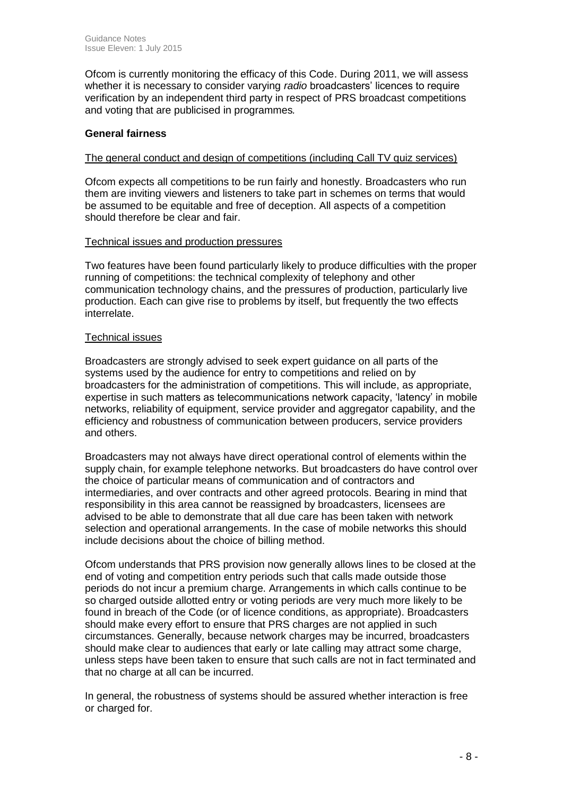Ofcom is currently monitoring the efficacy of this Code. During 2011, we will assess whether it is necessary to consider varying *radio* broadcasters' licences to require verification by an independent third party in respect of PRS broadcast competitions and voting that are publicised in programmes*.*

### **General fairness**

#### The general conduct and design of competitions (including Call TV quiz services)

Ofcom expects all competitions to be run fairly and honestly. Broadcasters who run them are inviting viewers and listeners to take part in schemes on terms that would be assumed to be equitable and free of deception. All aspects of a competition should therefore be clear and fair.

#### Technical issues and production pressures

Two features have been found particularly likely to produce difficulties with the proper running of competitions: the technical complexity of telephony and other communication technology chains, and the pressures of production, particularly live production. Each can give rise to problems by itself, but frequently the two effects interrelate.

#### Technical issues

Broadcasters are strongly advised to seek expert guidance on all parts of the systems used by the audience for entry to competitions and relied on by broadcasters for the administration of competitions. This will include, as appropriate, expertise in such matters as telecommunications network capacity, 'latency' in mobile networks, reliability of equipment, service provider and aggregator capability, and the efficiency and robustness of communication between producers, service providers and others.

Broadcasters may not always have direct operational control of elements within the supply chain, for example telephone networks. But broadcasters do have control over the choice of particular means of communication and of contractors and intermediaries, and over contracts and other agreed protocols. Bearing in mind that responsibility in this area cannot be reassigned by broadcasters, licensees are advised to be able to demonstrate that all due care has been taken with network selection and operational arrangements. In the case of mobile networks this should include decisions about the choice of billing method.

Ofcom understands that PRS provision now generally allows lines to be closed at the end of voting and competition entry periods such that calls made outside those periods do not incur a premium charge. Arrangements in which calls continue to be so charged outside allotted entry or voting periods are very much more likely to be found in breach of the Code (or of licence conditions, as appropriate). Broadcasters should make every effort to ensure that PRS charges are not applied in such circumstances. Generally, because network charges may be incurred, broadcasters should make clear to audiences that early or late calling may attract some charge, unless steps have been taken to ensure that such calls are not in fact terminated and that no charge at all can be incurred.

In general, the robustness of systems should be assured whether interaction is free or charged for.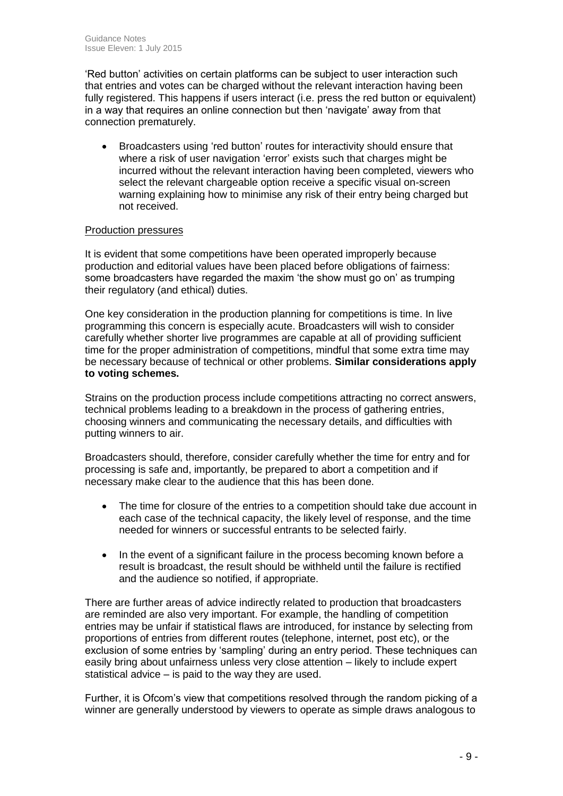'Red button' activities on certain platforms can be subject to user interaction such that entries and votes can be charged without the relevant interaction having been fully registered. This happens if users interact (i.e. press the red button or equivalent) in a way that requires an online connection but then 'navigate' away from that connection prematurely.

• Broadcasters using 'red button' routes for interactivity should ensure that where a risk of user navigation 'error' exists such that charges might be incurred without the relevant interaction having been completed, viewers who select the relevant chargeable option receive a specific visual on-screen warning explaining how to minimise any risk of their entry being charged but not received.

#### Production pressures

It is evident that some competitions have been operated improperly because production and editorial values have been placed before obligations of fairness: some broadcasters have regarded the maxim 'the show must go on' as trumping their regulatory (and ethical) duties.

One key consideration in the production planning for competitions is time. In live programming this concern is especially acute. Broadcasters will wish to consider carefully whether shorter live programmes are capable at all of providing sufficient time for the proper administration of competitions, mindful that some extra time may be necessary because of technical or other problems. **Similar considerations apply to voting schemes.**

Strains on the production process include competitions attracting no correct answers, technical problems leading to a breakdown in the process of gathering entries, choosing winners and communicating the necessary details, and difficulties with putting winners to air.

Broadcasters should, therefore, consider carefully whether the time for entry and for processing is safe and, importantly, be prepared to abort a competition and if necessary make clear to the audience that this has been done.

- The time for closure of the entries to a competition should take due account in each case of the technical capacity, the likely level of response, and the time needed for winners or successful entrants to be selected fairly.
- In the event of a significant failure in the process becoming known before a result is broadcast, the result should be withheld until the failure is rectified and the audience so notified, if appropriate.

There are further areas of advice indirectly related to production that broadcasters are reminded are also very important. For example, the handling of competition entries may be unfair if statistical flaws are introduced, for instance by selecting from proportions of entries from different routes (telephone, internet, post etc), or the exclusion of some entries by 'sampling' during an entry period. These techniques can easily bring about unfairness unless very close attention – likely to include expert statistical advice – is paid to the way they are used.

Further, it is Ofcom's view that competitions resolved through the random picking of a winner are generally understood by viewers to operate as simple draws analogous to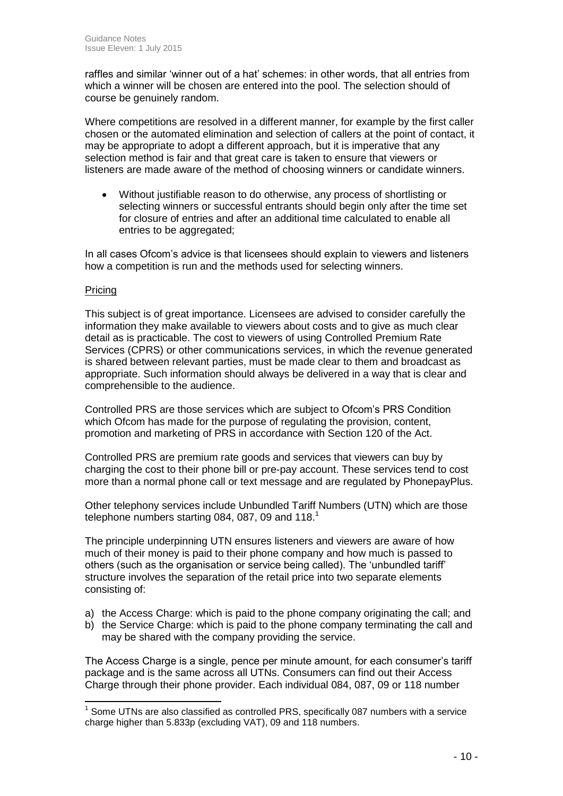raffles and similar 'winner out of a hat' schemes: in other words, that all entries from which a winner will be chosen are entered into the pool. The selection should of course be genuinely random.

Where competitions are resolved in a different manner, for example by the first caller chosen or the automated elimination and selection of callers at the point of contact, it may be appropriate to adopt a different approach, but it is imperative that any selection method is fair and that great care is taken to ensure that viewers or listeners are made aware of the method of choosing winners or candidate winners.

 Without justifiable reason to do otherwise, any process of shortlisting or selecting winners or successful entrants should begin only after the time set for closure of entries and after an additional time calculated to enable all entries to be aggregated;

In all cases Ofcom's advice is that licensees should explain to viewers and listeners how a competition is run and the methods used for selecting winners.

#### Pricing

This subject is of great importance. Licensees are advised to consider carefully the information they make available to viewers about costs and to give as much clear detail as is practicable. The cost to viewers of using Controlled Premium Rate Services (CPRS) or other communications services, in which the revenue generated is shared between relevant parties, must be made clear to them and broadcast as appropriate. Such information should always be delivered in a way that is clear and comprehensible to the audience.

Controlled PRS are those services which are subject to Ofcom's PRS Condition which Ofcom has made for the purpose of regulating the provision, content, promotion and marketing of PRS in accordance with Section 120 of the Act.

Controlled PRS are premium rate goods and services that viewers can buy by charging the cost to their phone bill or pre-pay account. These services tend to cost more than a normal phone call or text message and are regulated by PhonepayPlus.

Other telephony services include Unbundled Tariff Numbers (UTN) which are those telephone numbers starting 084, 087, 09 and  $118.<sup>1</sup>$ 

The principle underpinning UTN ensures listeners and viewers are aware of how much of their money is paid to their phone company and how much is passed to others (such as the organisation or service being called). The 'unbundled tariff' structure involves the separation of the retail price into two separate elements consisting of:

- a) the Access Charge: which is paid to the phone company originating the call; and
- b) the Service Charge: which is paid to the phone company terminating the call and may be shared with the company providing the service.

The Access Charge is a single, pence per minute amount, for each consumer's tariff package and is the same across all UTNs. Consumers can find out their Access Charge through their phone provider. Each individual 084, 087, 09 or 118 number

  $1$  Some UTNs are also classified as controlled PRS, specifically 087 numbers with a service charge higher than 5.833p (excluding VAT), 09 and 118 numbers.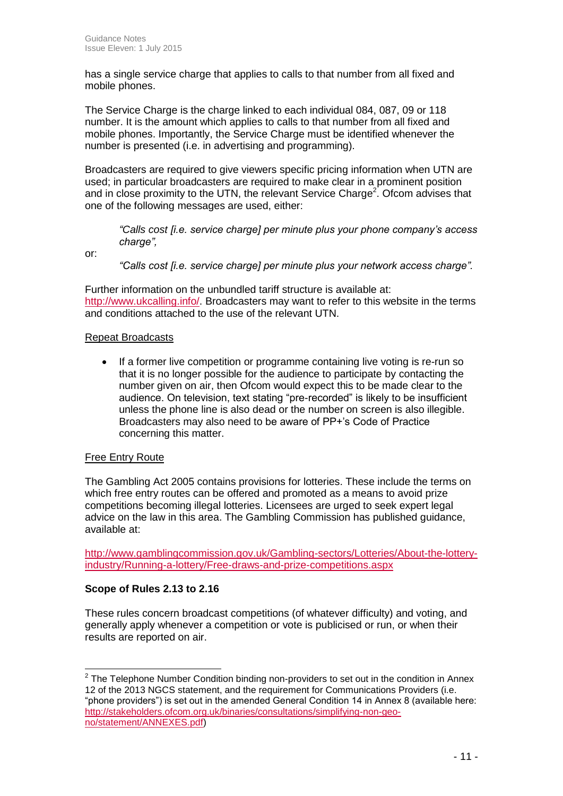has a single service charge that applies to calls to that number from all fixed and mobile phones.

The Service Charge is the charge linked to each individual 084, 087, 09 or 118 number. It is the amount which applies to calls to that number from all fixed and mobile phones. Importantly, the Service Charge must be identified whenever the number is presented (i.e. in advertising and programming).

Broadcasters are required to give viewers specific pricing information when UTN are used; in particular broadcasters are required to make clear in a prominent position and in close proximity to the UTN, the relevant Service Charge<sup>2</sup>. Ofcom advises that one of the following messages are used, either:

*"Calls cost [i.e. service charge] per minute plus your phone company's access charge",*

or:

*"Calls cost [i.e. service charge] per minute plus your network access charge".*

Further information on the unbundled tariff structure is available at: [http://www.ukcalling.info/.](http://www.ukcalling.info/) Broadcasters may want to refer to this website in the terms and conditions attached to the use of the relevant UTN.

#### Repeat Broadcasts

• If a former live competition or programme containing live voting is re-run so that it is no longer possible for the audience to participate by contacting the number given on air, then Ofcom would expect this to be made clear to the audience. On television, text stating "pre-recorded" is likely to be insufficient unless the phone line is also dead or the number on screen is also illegible. Broadcasters may also need to be aware of PP+'s Code of Practice concerning this matter.

#### Free Entry Route

The Gambling Act 2005 contains provisions for lotteries. These include the terms on which free entry routes can be offered and promoted as a means to avoid prize competitions becoming illegal lotteries. Licensees are urged to seek expert legal advice on the law in this area. The Gambling Commission has published guidance, available at:

[http://www.gamblingcommission.gov.uk/Gambling-sectors/Lotteries/About-the-lottery](http://www.gamblingcommission.gov.uk/Gambling-sectors/Lotteries/About-the-lottery-industry/Running-a-lottery/Free-draws-and-prize-competitions.aspx)[industry/Running-a-lottery/Free-draws-and-prize-competitions.aspx](http://www.gamblingcommission.gov.uk/Gambling-sectors/Lotteries/About-the-lottery-industry/Running-a-lottery/Free-draws-and-prize-competitions.aspx)

#### **Scope of Rules 2.13 to 2.16**

These rules concern broadcast competitions (of whatever difficulty) and voting, and generally apply whenever a competition or vote is publicised or run, or when their results are reported on air.

<sup>————————————————————&</sup>lt;br><sup>2</sup> The Telephone Number Condition binding non-providers to set out in the condition in Annex 12 of the 2013 NGCS statement, and the requirement for Communications Providers (i.e. "phone providers") is set out in the amended General Condition 14 in Annex 8 (available here: [http://stakeholders.ofcom.org.uk/binaries/consultations/simplifying-non-geo](http://stakeholders.ofcom.org.uk/binaries/consultations/simplifying-non-geo-no/statement/ANNEXES.pdf)[no/statement/ANNEXES.pdf\)](http://stakeholders.ofcom.org.uk/binaries/consultations/simplifying-non-geo-no/statement/ANNEXES.pdf)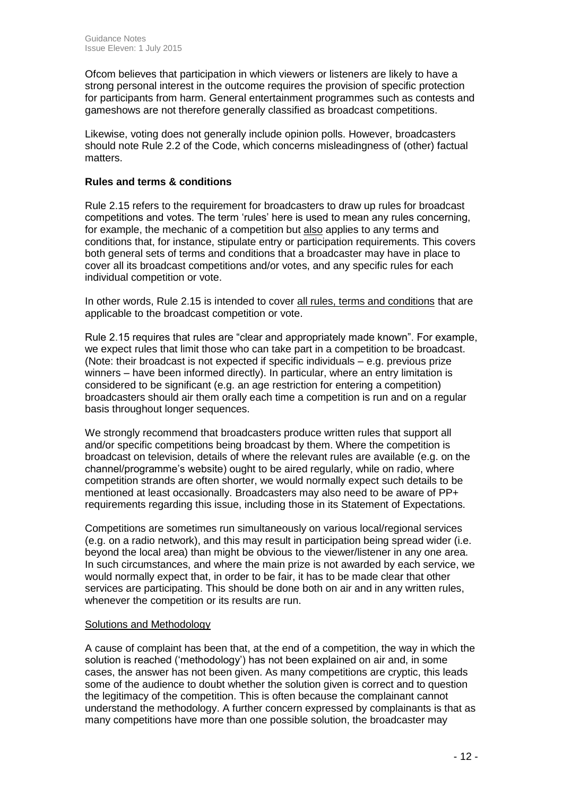Ofcom believes that participation in which viewers or listeners are likely to have a strong personal interest in the outcome requires the provision of specific protection for participants from harm. General entertainment programmes such as contests and gameshows are not therefore generally classified as broadcast competitions.

Likewise, voting does not generally include opinion polls. However, broadcasters should note Rule 2.2 of the Code, which concerns misleadingness of (other) factual matters.

### **Rules and terms & conditions**

Rule 2.15 refers to the requirement for broadcasters to draw up rules for broadcast competitions and votes. The term 'rules' here is used to mean any rules concerning, for example, the mechanic of a competition but also applies to any terms and conditions that, for instance, stipulate entry or participation requirements. This covers both general sets of terms and conditions that a broadcaster may have in place to cover all its broadcast competitions and/or votes, and any specific rules for each individual competition or vote.

In other words, Rule 2.15 is intended to cover all rules, terms and conditions that are applicable to the broadcast competition or vote.

Rule 2.15 requires that rules are "clear and appropriately made known". For example, we expect rules that limit those who can take part in a competition to be broadcast. (Note: their broadcast is not expected if specific individuals – e.g. previous prize winners – have been informed directly). In particular, where an entry limitation is considered to be significant (e.g. an age restriction for entering a competition) broadcasters should air them orally each time a competition is run and on a regular basis throughout longer sequences.

We strongly recommend that broadcasters produce written rules that support all and/or specific competitions being broadcast by them. Where the competition is broadcast on television, details of where the relevant rules are available (e.g. on the channel/programme's website) ought to be aired regularly, while on radio, where competition strands are often shorter, we would normally expect such details to be mentioned at least occasionally. Broadcasters may also need to be aware of PP+ requirements regarding this issue, including those in its Statement of Expectations.

Competitions are sometimes run simultaneously on various local/regional services (e.g. on a radio network), and this may result in participation being spread wider (i.e. beyond the local area) than might be obvious to the viewer/listener in any one area. In such circumstances, and where the main prize is not awarded by each service, we would normally expect that, in order to be fair, it has to be made clear that other services are participating. This should be done both on air and in any written rules, whenever the competition or its results are run.

#### Solutions and Methodology

A cause of complaint has been that, at the end of a competition, the way in which the solution is reached ('methodology') has not been explained on air and, in some cases, the answer has not been given. As many competitions are cryptic, this leads some of the audience to doubt whether the solution given is correct and to question the legitimacy of the competition. This is often because the complainant cannot understand the methodology. A further concern expressed by complainants is that as many competitions have more than one possible solution, the broadcaster may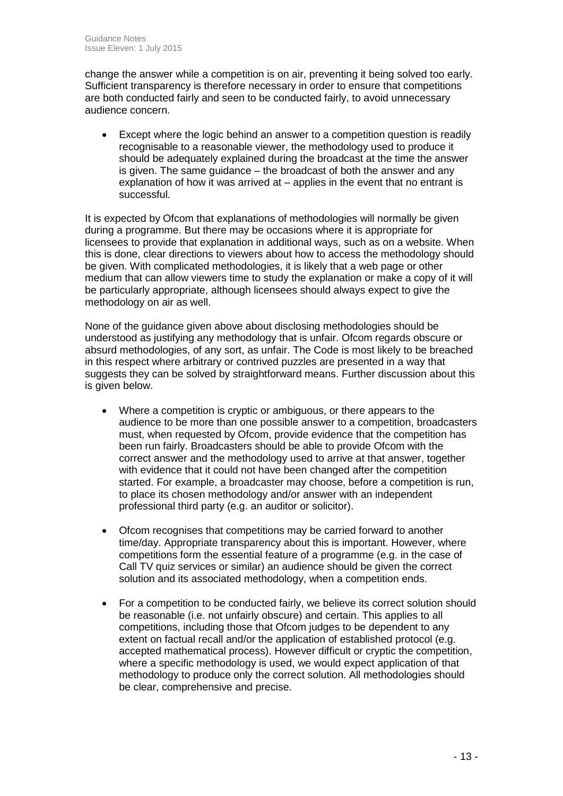change the answer while a competition is on air, preventing it being solved too early. Sufficient transparency is therefore necessary in order to ensure that competitions are both conducted fairly and seen to be conducted fairly, to avoid unnecessary audience concern.

 Except where the logic behind an answer to a competition question is readily recognisable to a reasonable viewer, the methodology used to produce it should be adequately explained during the broadcast at the time the answer is given. The same guidance – the broadcast of both the answer and any explanation of how it was arrived at – applies in the event that no entrant is successful.

It is expected by Ofcom that explanations of methodologies will normally be given during a programme. But there may be occasions where it is appropriate for licensees to provide that explanation in additional ways, such as on a website. When this is done, clear directions to viewers about how to access the methodology should be given. With complicated methodologies, it is likely that a web page or other medium that can allow viewers time to study the explanation or make a copy of it will be particularly appropriate, although licensees should always expect to give the methodology on air as well.

None of the guidance given above about disclosing methodologies should be understood as justifying any methodology that is unfair. Ofcom regards obscure or absurd methodologies, of any sort, as unfair. The Code is most likely to be breached in this respect where arbitrary or contrived puzzles are presented in a way that suggests they can be solved by straightforward means. Further discussion about this is given below.

- Where a competition is cryptic or ambiguous, or there appears to the audience to be more than one possible answer to a competition, broadcasters must, when requested by Ofcom, provide evidence that the competition has been run fairly. Broadcasters should be able to provide Ofcom with the correct answer and the methodology used to arrive at that answer, together with evidence that it could not have been changed after the competition started. For example, a broadcaster may choose, before a competition is run, to place its chosen methodology and/or answer with an independent professional third party (e.g. an auditor or solicitor).
- Ofcom recognises that competitions may be carried forward to another time/day. Appropriate transparency about this is important. However, where competitions form the essential feature of a programme (e.g. in the case of Call TV quiz services or similar) an audience should be given the correct solution and its associated methodology, when a competition ends.
- For a competition to be conducted fairly, we believe its correct solution should be reasonable (i.e. not unfairly obscure) and certain. This applies to all competitions, including those that Ofcom judges to be dependent to any extent on factual recall and/or the application of established protocol (e.g. accepted mathematical process). However difficult or cryptic the competition, where a specific methodology is used, we would expect application of that methodology to produce only the correct solution. All methodologies should be clear, comprehensive and precise.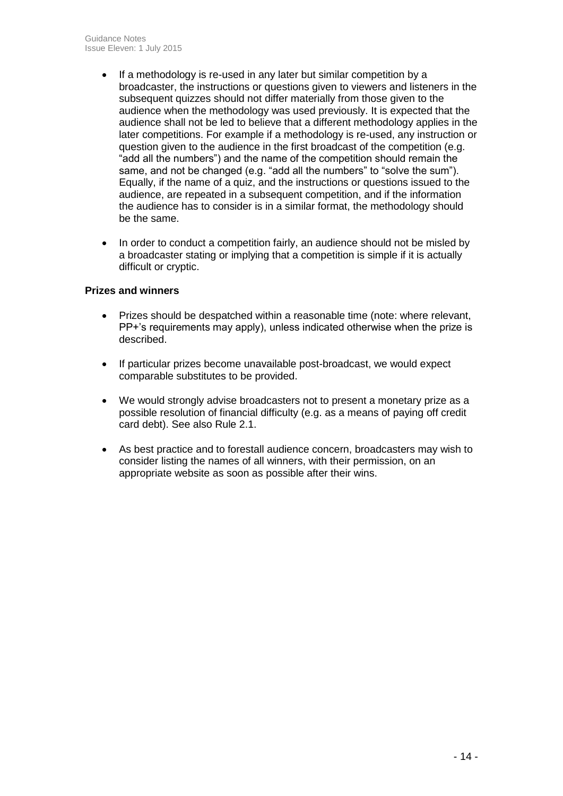- If a methodology is re-used in any later but similar competition by a broadcaster, the instructions or questions given to viewers and listeners in the subsequent quizzes should not differ materially from those given to the audience when the methodology was used previously. It is expected that the audience shall not be led to believe that a different methodology applies in the later competitions. For example if a methodology is re-used, any instruction or question given to the audience in the first broadcast of the competition (e.g. "add all the numbers") and the name of the competition should remain the same, and not be changed (e.g. "add all the numbers" to "solve the sum"). Equally, if the name of a quiz, and the instructions or questions issued to the audience, are repeated in a subsequent competition, and if the information the audience has to consider is in a similar format, the methodology should be the same.
- In order to conduct a competition fairly, an audience should not be misled by a broadcaster stating or implying that a competition is simple if it is actually difficult or cryptic.

### **Prizes and winners**

- Prizes should be despatched within a reasonable time (note: where relevant, PP+'s requirements may apply), unless indicated otherwise when the prize is described.
- If particular prizes become unavailable post-broadcast, we would expect comparable substitutes to be provided.
- We would strongly advise broadcasters not to present a monetary prize as a possible resolution of financial difficulty (e.g. as a means of paying off credit card debt). See also Rule 2.1.
- As best practice and to forestall audience concern, broadcasters may wish to consider listing the names of all winners, with their permission, on an appropriate website as soon as possible after their wins.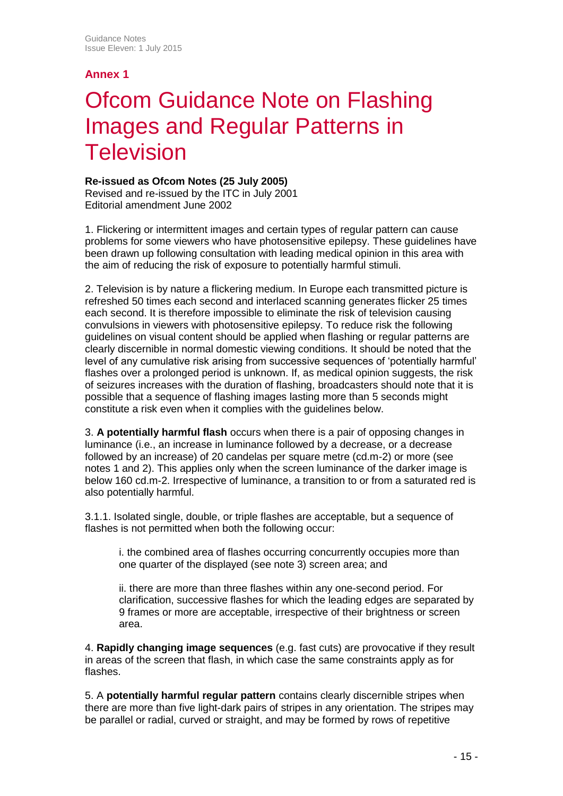## **Annex 1**

# Ofcom Guidance Note on Flashing Images and Regular Patterns in **Television**

### **Re-issued as Ofcom Notes (25 July 2005)**

Revised and re-issued by the ITC in July 2001 Editorial amendment June 2002

1. Flickering or intermittent images and certain types of regular pattern can cause problems for some viewers who have photosensitive epilepsy. These guidelines have been drawn up following consultation with leading medical opinion in this area with the aim of reducing the risk of exposure to potentially harmful stimuli.

2. Television is by nature a flickering medium. In Europe each transmitted picture is refreshed 50 times each second and interlaced scanning generates flicker 25 times each second. It is therefore impossible to eliminate the risk of television causing convulsions in viewers with photosensitive epilepsy. To reduce risk the following guidelines on visual content should be applied when flashing or regular patterns are clearly discernible in normal domestic viewing conditions. It should be noted that the level of any cumulative risk arising from successive sequences of 'potentially harmful' flashes over a prolonged period is unknown. If, as medical opinion suggests, the risk of seizures increases with the duration of flashing, broadcasters should note that it is possible that a sequence of flashing images lasting more than 5 seconds might constitute a risk even when it complies with the guidelines below.

3. **A potentially harmful flash** occurs when there is a pair of opposing changes in luminance (i.e., an increase in luminance followed by a decrease, or a decrease followed by an increase) of 20 candelas per square metre (cd.m-2) or more (see notes 1 and 2). This applies only when the screen luminance of the darker image is below 160 cd.m-2. Irrespective of luminance, a transition to or from a saturated red is also potentially harmful.

3.1.1. Isolated single, double, or triple flashes are acceptable, but a sequence of flashes is not permitted when both the following occur:

i. the combined area of flashes occurring concurrently occupies more than one quarter of the displayed (see note 3) screen area; and

ii. there are more than three flashes within any one-second period. For clarification, successive flashes for which the leading edges are separated by 9 frames or more are acceptable, irrespective of their brightness or screen area.

4. **Rapidly changing image sequences** (e.g. fast cuts) are provocative if they result in areas of the screen that flash, in which case the same constraints apply as for flashes.

5. A **potentially harmful regular pattern** contains clearly discernible stripes when there are more than five light-dark pairs of stripes in any orientation. The stripes may be parallel or radial, curved or straight, and may be formed by rows of repetitive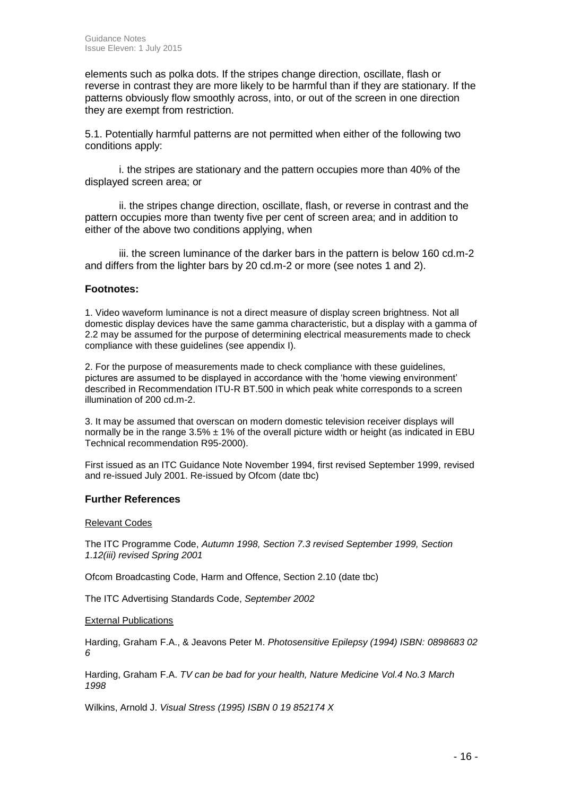elements such as polka dots. If the stripes change direction, oscillate, flash or reverse in contrast they are more likely to be harmful than if they are stationary. If the patterns obviously flow smoothly across, into, or out of the screen in one direction they are exempt from restriction.

5.1. Potentially harmful patterns are not permitted when either of the following two conditions apply:

i. the stripes are stationary and the pattern occupies more than 40% of the displayed screen area; or

ii. the stripes change direction, oscillate, flash, or reverse in contrast and the pattern occupies more than twenty five per cent of screen area; and in addition to either of the above two conditions applying, when

iii. the screen luminance of the darker bars in the pattern is below 160 cd.m-2 and differs from the lighter bars by 20 cd.m-2 or more (see notes 1 and 2).

#### **Footnotes:**

1. Video waveform luminance is not a direct measure of display screen brightness. Not all domestic display devices have the same gamma characteristic, but a display with a gamma of 2.2 may be assumed for the purpose of determining electrical measurements made to check compliance with these guidelines (see appendix I).

2. For the purpose of measurements made to check compliance with these guidelines, pictures are assumed to be displayed in accordance with the 'home viewing environment' described in Recommendation ITU-R BT.500 in which peak white corresponds to a screen illumination of 200 cd.m-2.

3. It may be assumed that overscan on modern domestic television receiver displays will normally be in the range  $3.5\% \pm 1\%$  of the overall picture width or height (as indicated in EBU Technical recommendation R95-2000).

First issued as an ITC Guidance Note November 1994, first revised September 1999, revised and re-issued July 2001. Re-issued by Ofcom (date tbc)

#### **Further References**

#### Relevant Codes

The ITC Programme Code, *Autumn 1998, Section 7.3 revised September 1999, Section 1.12(iii) revised Spring 2001*

Ofcom Broadcasting Code, Harm and Offence, Section 2.10 (date tbc)

The ITC Advertising Standards Code, *September 2002*

#### External Publications

Harding, Graham F.A., & Jeavons Peter M. *Photosensitive Epilepsy (1994) ISBN: 0898683 02 6*

Harding, Graham F.A. *TV can be bad for your health, Nature Medicine Vol.4 No.3 March 1998*

Wilkins, Arnold J. *Visual Stress (1995) ISBN 0 19 852174 X*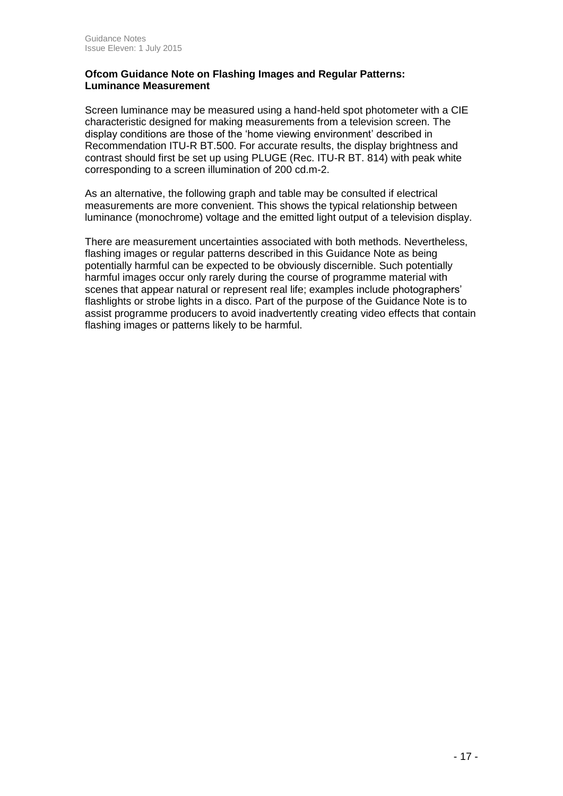#### **Ofcom Guidance Note on Flashing Images and Regular Patterns: Luminance Measurement**

Screen luminance may be measured using a hand-held spot photometer with a CIE characteristic designed for making measurements from a television screen. The display conditions are those of the 'home viewing environment' described in Recommendation ITU-R BT.500. For accurate results, the display brightness and contrast should first be set up using PLUGE (Rec. ITU-R BT. 814) with peak white corresponding to a screen illumination of 200 cd.m-2.

As an alternative, the following graph and table may be consulted if electrical measurements are more convenient. This shows the typical relationship between luminance (monochrome) voltage and the emitted light output of a television display.

There are measurement uncertainties associated with both methods. Nevertheless, flashing images or regular patterns described in this Guidance Note as being potentially harmful can be expected to be obviously discernible. Such potentially harmful images occur only rarely during the course of programme material with scenes that appear natural or represent real life; examples include photographers' flashlights or strobe lights in a disco. Part of the purpose of the Guidance Note is to assist programme producers to avoid inadvertently creating video effects that contain flashing images or patterns likely to be harmful.